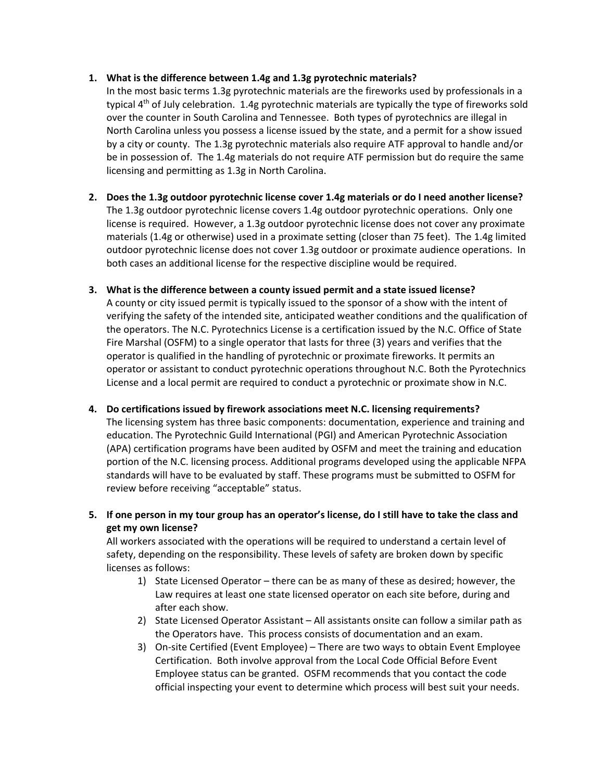# **1. What is the difference between 1.4g and 1.3g pyrotechnic materials?**

In the most basic terms 1.3g pyrotechnic materials are the fireworks used by professionals in a typical  $4<sup>th</sup>$  of July celebration. 1.4g pyrotechnic materials are typically the type of fireworks sold over the counter in South Carolina and Tennessee. Both types of pyrotechnics are illegal in North Carolina unless you possess a license issued by the state, and a permit for a show issued by a city or county. The 1.3g pyrotechnic materials also require ATF approval to handle and/or be in possession of. The 1.4g materials do not require ATF permission but do require the same licensing and permitting as 1.3g in North Carolina.

- **2. Does the 1.3g outdoor pyrotechnic license cover 1.4g materials or do I need another license?** The 1.3g outdoor pyrotechnic license covers 1.4g outdoor pyrotechnic operations. Only one license is required. However, a 1.3g outdoor pyrotechnic license does not cover any proximate materials (1.4g or otherwise) used in a proximate setting (closer than 75 feet). The 1.4g limited outdoor pyrotechnic license does not cover 1.3g outdoor or proximate audience operations. In both cases an additional license for the respective discipline would be required.
- **3. What is the difference between a county issued permit and a state issued license?** A county or city issued permit is typically issued to the sponsor of a show with the intent of verifying the safety of the intended site, anticipated weather conditions and the qualification of the operators. The N.C. Pyrotechnics License is a certification issued by the N.C. Office of State Fire Marshal (OSFM) to a single operator that lasts for three (3) years and verifies that the operator is qualified in the handling of pyrotechnic or proximate fireworks. It permits an operator or assistant to conduct pyrotechnic operations throughout N.C. Both the Pyrotechnics License and a local permit are required to conduct a pyrotechnic or proximate show in N.C.
- **4. Do certifications issued by firework associations meet N.C. licensing requirements?** The licensing system has three basic components: documentation, experience and training and education. The Pyrotechnic Guild International (PGI) and American Pyrotechnic Association (APA) certification programs have been audited by OSFM and meet the training and education portion of the N.C. licensing process. Additional programs developed using the applicable NFPA standards will have to be evaluated by staff. These programs must be submitted to OSFM for review before receiving "acceptable" status.
- **5. If one person in my tour group has an operator's license, do I still have to take the class and get my own license?**

All workers associated with the operations will be required to understand a certain level of safety, depending on the responsibility. These levels of safety are broken down by specific licenses as follows:

- 1) State Licensed Operator there can be as many of these as desired; however, the Law requires at least one state licensed operator on each site before, during and after each show.
- 2) State Licensed Operator Assistant All assistants onsite can follow a similar path as the Operators have. This process consists of documentation and an exam.
- 3) On-site Certified (Event Employee) There are two ways to obtain Event Employee Certification. Both involve approval from the Local Code Official Before Event Employee status can be granted. OSFM recommends that you contact the code official inspecting your event to determine which process will best suit your needs.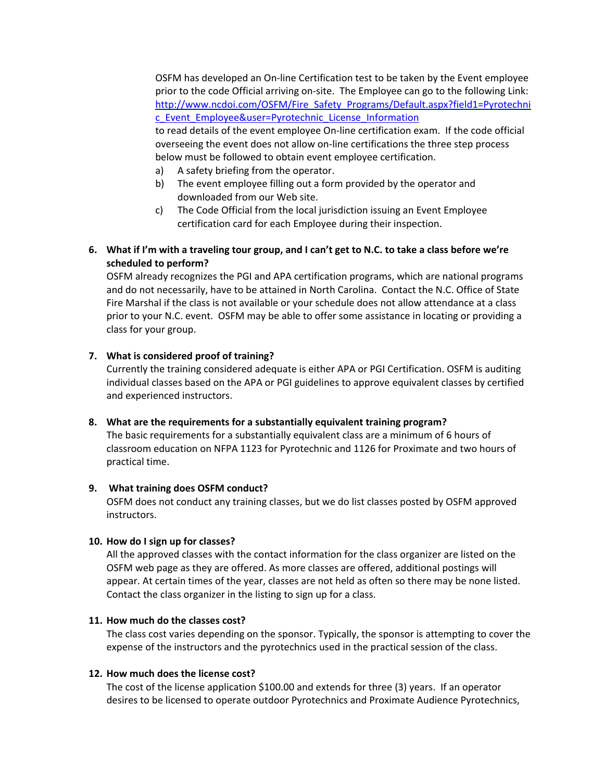OSFM has developed an On-line Certification test to be taken by the Event employee prior to the code Official arriving on-site. The Employee can go to the following Link: [http://www.ncdoi.com/OSFM/Fire\\_Safety\\_Programs/Default.aspx?field1=Pyrotechni](http://www.ncdoi.com/OSFM/Fire_Safety_Programs/Default.aspx?field1=Pyrotechnic_Event_Employee&user=Pyrotechnic_License_Information) [c\\_Event\\_Employee&user=Pyrotechnic\\_License\\_Information](http://www.ncdoi.com/OSFM/Fire_Safety_Programs/Default.aspx?field1=Pyrotechnic_Event_Employee&user=Pyrotechnic_License_Information) to read details of the event employee On-line certification exam. If the code official overseeing the event does not allow on-line certifications the three step process below must be followed to obtain event employee certification.

- a) A safety briefing from the operator.
- b) The event employee filling out a form provided by the operator and downloaded from our Web site.
- c) The Code Official from the local jurisdiction issuing an Event Employee certification card for each Employee during their inspection.
- **6. What if I'm with a traveling tour group, and I can't get to N.C. to take a class before we're scheduled to perform?**

OSFM already recognizes the PGI and APA certification programs, which are national programs and do not necessarily, have to be attained in North Carolina. Contact the N.C. Office of State Fire Marshal if the class is not available or your schedule does not allow attendance at a class prior to your N.C. event. OSFM may be able to offer some assistance in locating or providing a class for your group.

## **7. What is considered proof of training?**

Currently the training considered adequate is either APA or PGI Certification. OSFM is auditing individual classes based on the APA or PGI guidelines to approve equivalent classes by certified and experienced instructors.

**8. What are the requirements for a substantially equivalent training program?**

The basic requirements for a substantially equivalent class are a minimum of 6 hours of classroom education on NFPA 1123 for Pyrotechnic and 1126 for Proximate and two hours of practical time.

#### **9. What training does OSFM conduct?**

OSFM does not conduct any training classes, but we do list classes posted by OSFM approved instructors.

# **10. How do I sign up for classes?**

All the approved classes with the contact information for the class organizer are listed on the OSFM web page as they are offered. As more classes are offered, additional postings will appear. At certain times of the year, classes are not held as often so there may be none listed. Contact the class organizer in the listing to sign up for a class.

## **11. How much do the classes cost?**

The class cost varies depending on the sponsor. Typically, the sponsor is attempting to cover the expense of the instructors and the pyrotechnics used in the practical session of the class.

#### **12. How much does the license cost?**

The cost of the license application \$100.00 and extends for three (3) years. If an operator desires to be licensed to operate outdoor Pyrotechnics and Proximate Audience Pyrotechnics,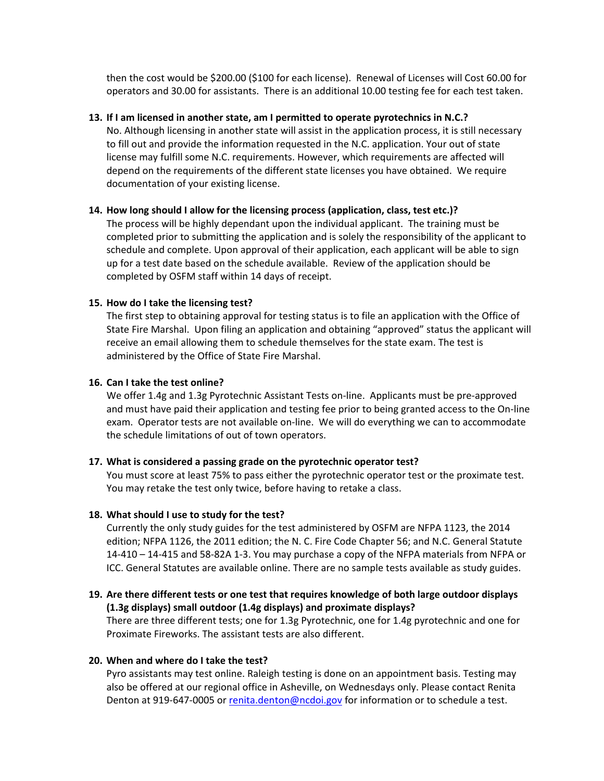then the cost would be \$200.00 (\$100 for each license). Renewal of Licenses will Cost 60.00 for operators and 30.00 for assistants. There is an additional 10.00 testing fee for each test taken.

#### **13. If I am licensed in another state, am I permitted to operate pyrotechnics in N.C.?**

No. Although licensing in another state will assist in the application process, it is still necessary to fill out and provide the information requested in the N.C. application. Your out of state license may fulfill some N.C. requirements. However, which requirements are affected will depend on the requirements of the different state licenses you have obtained. We require documentation of your existing license.

## **14. How long should I allow for the licensing process (application, class, test etc.)?**

The process will be highly dependant upon the individual applicant. The training must be completed prior to submitting the application and is solely the responsibility of the applicant to schedule and complete. Upon approval of their application, each applicant will be able to sign up for a test date based on the schedule available. Review of the application should be completed by OSFM staff within 14 days of receipt.

## **15. How do I take the licensing test?**

The first step to obtaining approval for testing status is to file an application with the Office of State Fire Marshal. Upon filing an application and obtaining "approved" status the applicant will receive an email allowing them to schedule themselves for the state exam. The test is administered by the Office of State Fire Marshal.

#### **16. Can I take the test online?**

We offer 1.4g and 1.3g Pyrotechnic Assistant Tests on-line. Applicants must be pre-approved and must have paid their application and testing fee prior to being granted access to the On-line exam. Operator tests are not available on-line. We will do everything we can to accommodate the schedule limitations of out of town operators.

#### **17. What is considered a passing grade on the pyrotechnic operator test?**

You must score at least 75% to pass either the pyrotechnic operator test or the proximate test. You may retake the test only twice, before having to retake a class.

#### **18. What should I use to study for the test?**

Currently the only study guides for the test administered by OSFM are NFPA 1123, the 2014 edition; NFPA 1126, the 2011 edition; the N. C. Fire Code Chapter 56; and N.C. General Statute 14-410 – 14-415 and 58-82A 1-3. You may purchase a copy of the NFPA materials from NFPA or ICC. General Statutes are available online. There are no sample tests available as study guides.

# **19. Are there different tests or one test that requires knowledge of both large outdoor displays (1.3g displays) small outdoor (1.4g displays) and proximate displays?**

There are three different tests; one for 1.3g Pyrotechnic, one for 1.4g pyrotechnic and one for Proximate Fireworks. The assistant tests are also different.

#### **20. When and where do I take the test?**

Pyro assistants may test online. Raleigh testing is done on an appointment basis. Testing may also be offered at our regional office in Asheville, on Wednesdays only. Please contact Renita Denton at 919-647-0005 or [renita.denton@ncdoi.gov](mailto:renita.denton@ncdoi.gov) for information or to schedule a test.